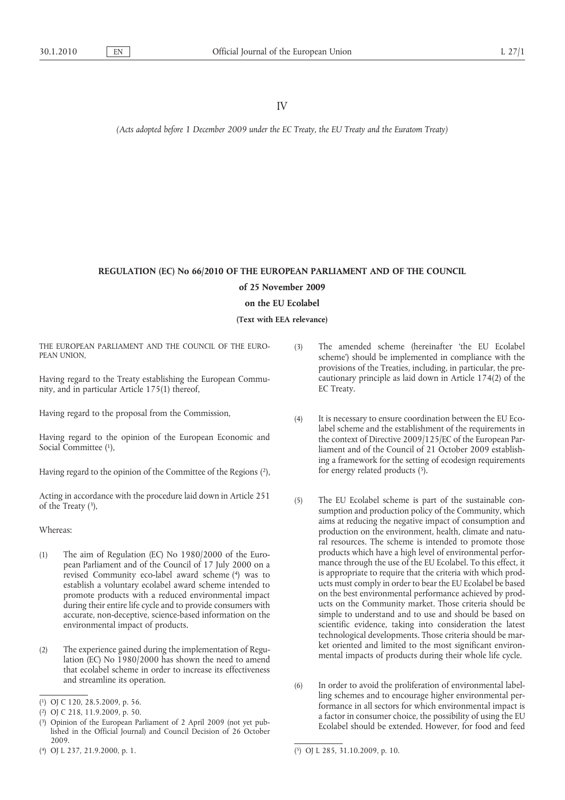*(Acts adopted before 1 December 2009 under the EC Treaty, the EU Treaty and the Euratom Treaty)*

# **REGULATION (EC) No 66/2010 OF THE EUROPEAN PARLIAMENT AND OF THE COUNCIL of 25 November 2009 on the EU Ecolabel**

**(Text with EEA relevance)**

THE EUROPEAN PARLIAMENT AND THE COUNCIL OF THE EURO-PEAN UNION,

Having regard to the Treaty establishing the European Community, and in particular Article 175(1) thereof,

Having regard to the proposal from the Commission,

Having regard to the opinion of the European Economic and Social Committee (1),

Having regard to the opinion of the Committee of the Regions ( 2),

Acting in accordance with the procedure laid down in Article 251 of the Treaty ( 3),

Whereas:

- (1) The aim of Regulation (EC) No 1980/2000 of the European Parliament and of the Council of 17 July 2000 on a revised Community eco-label award scheme ( 4) was to establish a voluntary ecolabel award scheme intended to promote products with a reduced environmental impact during their entire life cycle and to provide consumers with accurate, non-deceptive, science-based information on the environmental impact of products.
- (2) The experience gained during the implementation of Regulation (EC) No 1980/2000 has shown the need to amend that ecolabel scheme in order to increase its effectiveness and streamline its operation.
- (3) The amended scheme (hereinafter 'the EU Ecolabel scheme') should be implemented in compliance with the provisions of the Treaties, including, in particular, the precautionary principle as laid down in Article 174(2) of the EC Treaty.
- (4) It is necessary to ensure coordination between the EU Ecolabel scheme and the establishment of the requirements in the context of Directive 2009/125/EC of the European Parliament and of the Council of 21 October 2009 establishing a framework for the setting of ecodesign requirements for energy related products ( 5).
- (5) The EU Ecolabel scheme is part of the sustainable consumption and production policy of the Community, which aims at reducing the negative impact of consumption and production on the environment, health, climate and natural resources. The scheme is intended to promote those products which have a high level of environmental performance through the use of the EU Ecolabel. To this effect, it is appropriate to require that the criteria with which products must comply in order to bear the EU Ecolabel be based on the best environmental performance achieved by products on the Community market. Those criteria should be simple to understand and to use and should be based on scientific evidence, taking into consideration the latest technological developments. Those criteria should be market oriented and limited to the most significant environmental impacts of products during their whole life cycle.
- (6) In order to avoid the proliferation of environmental labelling schemes and to encourage higher environmental performance in all sectors for which environmental impact is a factor in consumer choice, the possibility of using the EU Ecolabel should be extended. However, for food and feed

<sup>(</sup> 1) OJ C [120, 28.5.2009, p.](http://eur-lex.europa.eu/LexUriServ/LexUriServ.do?uri=OJ:C:2009:120:0056:0056:EN:PDF) 56.

<sup>(</sup> 2) OJ C [218, 11.9.2009, p.](http://eur-lex.europa.eu/LexUriServ/LexUriServ.do?uri=OJ:C:2009:218:0050:0050:EN:PDF) 50.

<sup>(</sup> 3) Opinion of the European Parliament of 2 April 2009 (not yet published in the Official Journal) and Council Decision of 26 October 2009.

<sup>(</sup> 4) OJ L [237, 21.9.2000, p.](http://eur-lex.europa.eu/LexUriServ/LexUriServ.do?uri=OJ:L:2000:237:0001:0001:EN:PDF) 1.

<sup>(</sup> 5) OJ L [285, 31.10.2009, p.](http://eur-lex.europa.eu/LexUriServ/LexUriServ.do?uri=OJ:L:2009:285:0010:0010:EN:PDF) 10.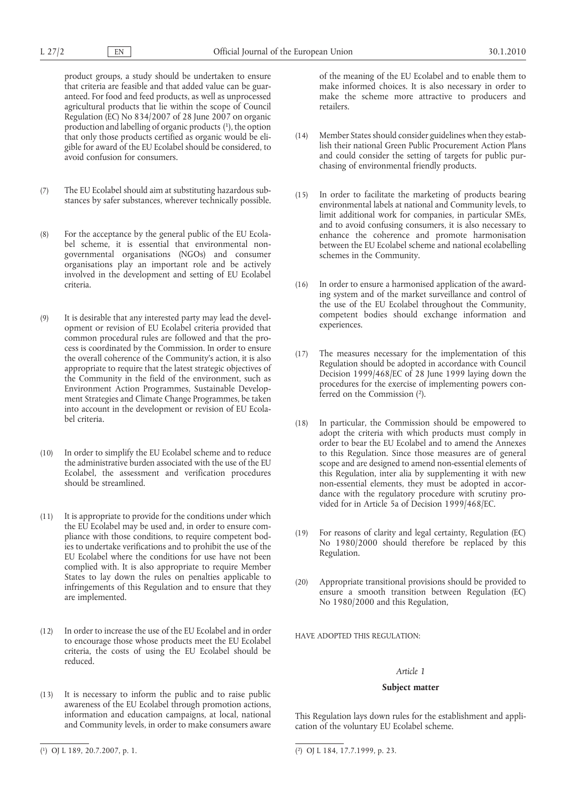product groups, a study should be undertaken to ensure that criteria are feasible and that added value can be guaranteed. For food and feed products, as well as unprocessed agricultural products that lie within the scope of Council Regulation (EC) No 834/2007 of 28 June 2007 on organic production and labelling of organic products ( 1), the option that only those products certified as organic would be eligible for award of the EU Ecolabel should be considered, to avoid confusion for consumers.

- (7) The EU Ecolabel should aim at substituting hazardous substances by safer substances, wherever technically possible.
- (8) For the acceptance by the general public of the EU Ecolabel scheme, it is essential that environmental nongovernmental organisations (NGOs) and consumer organisations play an important role and be actively involved in the development and setting of EU Ecolabel criteria.
- (9) It is desirable that any interested party may lead the development or revision of EU Ecolabel criteria provided that common procedural rules are followed and that the process is coordinated by the Commission. In order to ensure the overall coherence of the Community's action, it is also appropriate to require that the latest strategic objectives of the Community in the field of the environment, such as Environment Action Programmes, Sustainable Development Strategies and Climate Change Programmes, be taken into account in the development or revision of EU Ecolabel criteria.
- (10) In order to simplify the EU Ecolabel scheme and to reduce the administrative burden associated with the use of the EU Ecolabel, the assessment and verification procedures should be streamlined.
- (11) It is appropriate to provide for the conditions under which the EU Ecolabel may be used and, in order to ensure compliance with those conditions, to require competent bodies to undertake verifications and to prohibit the use of the EU Ecolabel where the conditions for use have not been complied with. It is also appropriate to require Member States to lay down the rules on penalties applicable to infringements of this Regulation and to ensure that they are implemented.
- (12) In order to increase the use of the EU Ecolabel and in order to encourage those whose products meet the EU Ecolabel criteria, the costs of using the EU Ecolabel should be reduced.
- (13) It is necessary to inform the public and to raise public awareness of the EU Ecolabel through promotion actions, information and education campaigns, at local, national and Community levels, in order to make consumers aware

of the meaning of the EU Ecolabel and to enable them to make informed choices. It is also necessary in order to make the scheme more attractive to producers and retailers.

- (14) Member States should consider guidelines when they establish their national Green Public Procurement Action Plans and could consider the setting of targets for public purchasing of environmental friendly products.
- (15) In order to facilitate the marketing of products bearing environmental labels at national and Community levels, to limit additional work for companies, in particular SMEs, and to avoid confusing consumers, it is also necessary to enhance the coherence and promote harmonisation between the EU Ecolabel scheme and national ecolabelling schemes in the Community.
- (16) In order to ensure a harmonised application of the awarding system and of the market surveillance and control of the use of the EU Ecolabel throughout the Community, competent bodies should exchange information and experiences.
- (17) The measures necessary for the implementation of this Regulation should be adopted in accordance with Council Decision 1999/468/EC of 28 June 1999 laying down the procedures for the exercise of implementing powers conferred on the Commission ( 2).
- (18) In particular, the Commission should be empowered to adopt the criteria with which products must comply in order to bear the EU Ecolabel and to amend the Annexes to this Regulation. Since those measures are of general scope and are designed to amend non-essential elements of this Regulation, inter alia by supplementing it with new non-essential elements, they must be adopted in accordance with the regulatory procedure with scrutiny provided for in Article 5a of Decision 1999/468/EC.
- (19) For reasons of clarity and legal certainty, Regulation (EC) No 1980/2000 should therefore be replaced by this Regulation.
- (20) Appropriate transitional provisions should be provided to ensure a smooth transition between Regulation (EC) No 1980/2000 and this Regulation,

HAVE ADOPTED THIS REGULATION·

# *Article 1*

### **Subject matter**

This Regulation lays down rules for the establishment and application of the voluntary EU Ecolabel scheme.

<sup>(</sup> 1) OJ L [189, 20.7.2007, p.](http://eur-lex.europa.eu/LexUriServ/LexUriServ.do?uri=OJ:L:2007:189:0001:0001:EN:PDF) 1.

<sup>(</sup> 2) OJ L [184, 17.7.1999, p.](http://eur-lex.europa.eu/LexUriServ/LexUriServ.do?uri=OJ:L:1999:184:0023:0023:EN:PDF) 23.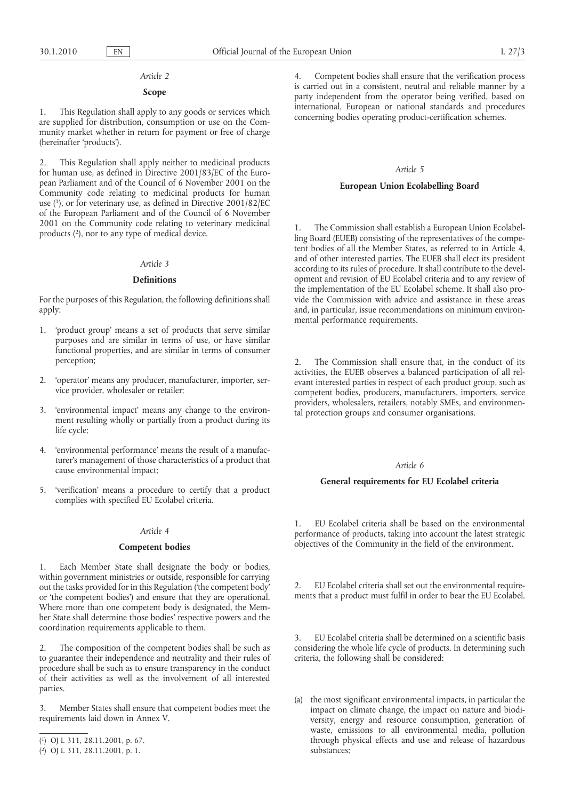### *Article 2*

### **Scope**

1. This Regulation shall apply to any goods or services which are supplied for distribution, consumption or use on the Community market whether in return for payment or free of charge (hereinafter 'products').

2. This Regulation shall apply neither to medicinal products for human use, as defined in Directive 2001/83/EC of the European Parliament and of the Council of 6 November 2001 on the Community code relating to medicinal products for human use ( 1), or for veterinary use, as defined in Directive 2001/82/EC of the European Parliament and of the Council of 6 November 2001 on the Community code relating to veterinary medicinal products ( 2), nor to any type of medical device.

# *Article 3*

### **Definitions**

For the purposes of this Regulation, the following definitions shall apply:

- 1. 'product group' means a set of products that serve similar purposes and are similar in terms of use, or have similar functional properties, and are similar in terms of consumer perception;
- 2. 'operator' means any producer, manufacturer, importer, service provider, wholesaler or retailer;
- 3. 'environmental impact' means any change to the environment resulting wholly or partially from a product during its life cycle;
- 4. 'environmental performance' means the result of a manufacturer's management of those characteristics of a product that cause environmental impact;
- 5. 'verification' means a procedure to certify that a product complies with specified EU Ecolabel criteria.

## *Article 4*

## **Competent bodies**

1. Each Member State shall designate the body or bodies, within government ministries or outside, responsible for carrying out the tasks provided for in this Regulation ('the competent body' or 'the competent bodies') and ensure that they are operational. Where more than one competent body is designated, the Member State shall determine those bodies' respective powers and the coordination requirements applicable to them.

2. The composition of the competent bodies shall be such as to guarantee their independence and neutrality and their rules of procedure shall be such as to ensure transparency in the conduct of their activities as well as the involvement of all interested parties.

Member States shall ensure that competent bodies meet the requirements laid down in Annex V.

4. Competent bodies shall ensure that the verification process is carried out in a consistent, neutral and reliable manner by a party independent from the operator being verified, based on international, European or national standards and procedures concerning bodies operating product-certification schemes.

#### *Article 5*

### **European Union Ecolabelling Board**

The Commission shall establish a European Union Ecolabelling Board (EUEB) consisting of the representatives of the competent bodies of all the Member States, as referred to in Article 4, and of other interested parties. The EUEB shall elect its president according to its rules of procedure. It shall contribute to the development and revision of EU Ecolabel criteria and to any review of the implementation of the EU Ecolabel scheme. It shall also provide the Commission with advice and assistance in these areas and, in particular, issue recommendations on minimum environmental performance requirements.

2. The Commission shall ensure that, in the conduct of its activities, the EUEB observes a balanced participation of all relevant interested parties in respect of each product group, such as competent bodies, producers, manufacturers, importers, service providers, wholesalers, retailers, notably SMEs, and environmental protection groups and consumer organisations.

#### *Article 6*

### **General requirements for EU Ecolabel criteria**

1. EU Ecolabel criteria shall be based on the environmental performance of products, taking into account the latest strategic objectives of the Community in the field of the environment.

2. EU Ecolabel criteria shall set out the environmental requirements that a product must fulfil in order to bear the EU Ecolabel.

3. EU Ecolabel criteria shall be determined on a scientific basis considering the whole life cycle of products. In determining such criteria, the following shall be considered:

(a) the most significant environmental impacts, in particular the impact on climate change, the impact on nature and biodiversity, energy and resource consumption, generation of waste, emissions to all environmental media, pollution through physical effects and use and release of hazardous substances;

<sup>(</sup> 1) OJ L [311, 28.11.2001, p.](http://eur-lex.europa.eu/LexUriServ/LexUriServ.do?uri=OJ:L:2001:311:0067:0067:EN:PDF) 67.

<sup>(</sup> 2) OJ L [311, 28.11.2001, p.](http://eur-lex.europa.eu/LexUriServ/LexUriServ.do?uri=OJ:L:2001:311:0001:0001:EN:PDF) 1.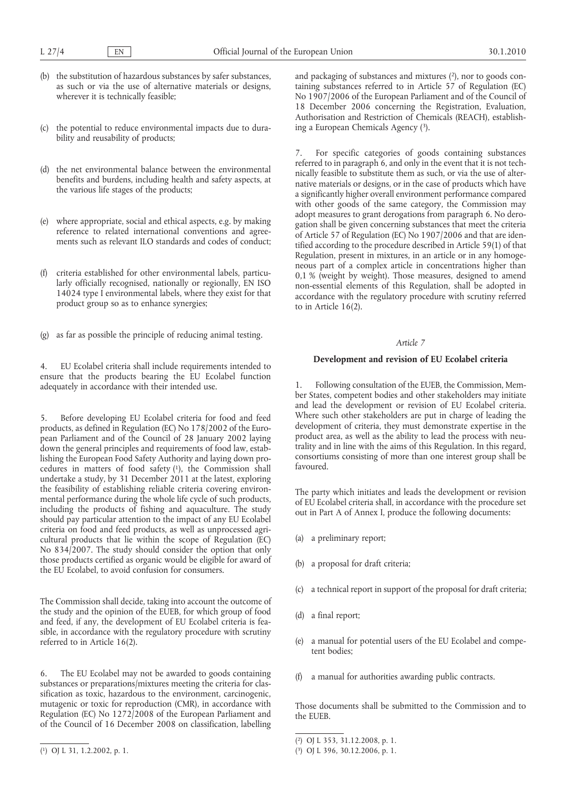$L$  27/4 EN

- (b) the substitution of hazardous substances by safer substances, as such or via the use of alternative materials or designs, wherever it is technically feasible;
- (c) the potential to reduce environmental impacts due to durability and reusability of products;
- (d) the net environmental balance between the environmental benefits and burdens, including health and safety aspects, at the various life stages of the products;
- (e) where appropriate, social and ethical aspects, e.g. by making reference to related international conventions and agreements such as relevant ILO standards and codes of conduct;
- (f) criteria established for other environmental labels, particularly officially recognised, nationally or regionally, EN ISO 14024 type I environmental labels, where they exist for that product group so as to enhance synergies;
- (g) as far as possible the principle of reducing animal testing.

4. EU Ecolabel criteria shall include requirements intended to ensure that the products bearing the EU Ecolabel function adequately in accordance with their intended use.

5. Before developing EU Ecolabel criteria for food and feed products, as defined in Regulation (EC) No 178/2002 of the European Parliament and of the Council of 28 January 2002 laying down the general principles and requirements of food law, establishing the European Food Safety Authority and laying down procedures in matters of food safety (1), the Commission shall undertake a study, by 31 December 2011 at the latest, exploring the feasibility of establishing reliable criteria covering environmental performance during the whole life cycle of such products, including the products of fishing and aquaculture. The study should pay particular attention to the impact of any EU Ecolabel criteria on food and feed products, as well as unprocessed agricultural products that lie within the scope of Regulation (EC) No 834/2007. The study should consider the option that only those products certified as organic would be eligible for award of the EU Ecolabel, to avoid confusion for consumers.

The Commission shall decide, taking into account the outcome of the study and the opinion of the EUEB, for which group of food and feed, if any, the development of EU Ecolabel criteria is feasible, in accordance with the regulatory procedure with scrutiny referred to in Article 16(2).

6. The EU Ecolabel may not be awarded to goods containing substances or preparations/mixtures meeting the criteria for classification as toxic, hazardous to the environment, carcinogenic, mutagenic or toxic for reproduction (CMR), in accordance with Regulation (EC) No 1272/2008 of the European Parliament and of the Council of 16 December 2008 on classification, labelling and packaging of substances and mixtures ( 2), nor to goods containing substances referred to in Article 57 of Regulation (EC) No 1907/2006 of the European Parliament and of the Council of 18 December 2006 concerning the Registration, Evaluation, Authorisation and Restriction of Chemicals (REACH), establishing a European Chemicals Agency ( 3).

For specific categories of goods containing substances referred to in paragraph 6, and only in the event that it is not technically feasible to substitute them as such, or via the use of alternative materials or designs, or in the case of products which have a significantly higher overall environment performance compared with other goods of the same category, the Commission may adopt measures to grant derogations from paragraph 6. No derogation shall be given concerning substances that meet the criteria of Article 57 of Regulation (EC) No 1907/2006 and that are identified according to the procedure described in Article 59(1) of that Regulation, present in mixtures, in an article or in any homogeneous part of a complex article in concentrations higher than 0,1 % (weight by weight). Those measures, designed to amend non-essential elements of this Regulation, shall be adopted in accordance with the regulatory procedure with scrutiny referred to in Article 16(2).

# *Article 7*

## **Development and revision of EU Ecolabel criteria**

1. Following consultation of the EUEB, the Commission, Member States, competent bodies and other stakeholders may initiate and lead the development or revision of EU Ecolabel criteria. Where such other stakeholders are put in charge of leading the development of criteria, they must demonstrate expertise in the product area, as well as the ability to lead the process with neutrality and in line with the aims of this Regulation. In this regard, consortiums consisting of more than one interest group shall be favoured.

The party which initiates and leads the development or revision of EU Ecolabel criteria shall, in accordance with the procedure set out in Part A of Annex I, produce the following documents:

- (a) a preliminary report;
- (b) a proposal for draft criteria;
- (c) a technical report in support of the proposal for draft criteria;
- (d) a final report;
- (e) a manual for potential users of the EU Ecolabel and competent bodies;
- (f) a manual for authorities awarding public contracts.

Those documents shall be submitted to the Commission and to the EUEB.

<sup>(</sup> 1) OJ L [31, 1.2.2002, p.](http://eur-lex.europa.eu/LexUriServ/LexUriServ.do?uri=OJ:L:2002:031:0001:0001:EN:PDF) 1.

<sup>(</sup> 2) OJ L [353, 31.12.2008, p.](http://eur-lex.europa.eu/LexUriServ/LexUriServ.do?uri=OJ:L:2008:353:0001:0001:EN:PDF) 1.

<sup>(</sup> 3) OJ L [396, 30.12.2006, p.](http://eur-lex.europa.eu/LexUriServ/LexUriServ.do?uri=OJ:L:2006:396:0001:0001:EN:PDF) 1.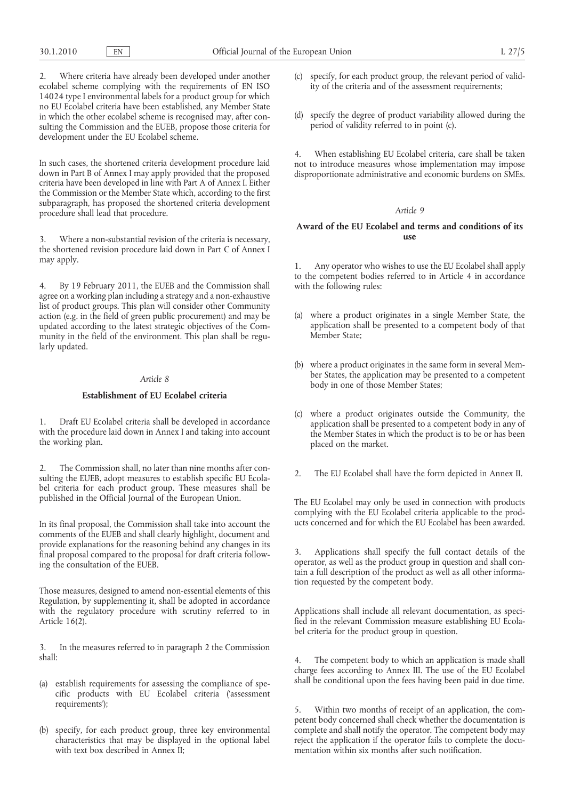2. Where criteria have already been developed under another ecolabel scheme complying with the requirements of EN ISO 14024 type I environmental labels for a product group for which no EU Ecolabel criteria have been established, any Member State in which the other ecolabel scheme is recognised may, after consulting the Commission and the EUEB, propose those criteria for development under the EU Ecolabel scheme.

In such cases, the shortened criteria development procedure laid down in Part B of Annex I may apply provided that the proposed criteria have been developed in line with Part A of Annex I. Either the Commission or the Member State which, according to the first subparagraph, has proposed the shortened criteria development procedure shall lead that procedure.

3. Where a non-substantial revision of the criteria is necessary, the shortened revision procedure laid down in Part C of Annex I may apply.

4. By 19 February 2011, the EUEB and the Commission shall agree on a working plan including a strategy and a non-exhaustive list of product groups. This plan will consider other Community action (e.g. in the field of green public procurement) and may be updated according to the latest strategic objectives of the Community in the field of the environment. This plan shall be regularly updated.

# *Article 8*

# **Establishment of EU Ecolabel criteria**

1. Draft EU Ecolabel criteria shall be developed in accordance with the procedure laid down in Annex I and taking into account the working plan.

2. The Commission shall, no later than nine months after consulting the EUEB, adopt measures to establish specific EU Ecolabel criteria for each product group. These measures shall be published in the Official Journal of the European Union.

In its final proposal, the Commission shall take into account the comments of the EUEB and shall clearly highlight, document and provide explanations for the reasoning behind any changes in its final proposal compared to the proposal for draft criteria following the consultation of the EUEB.

Those measures, designed to amend non-essential elements of this Regulation, by supplementing it, shall be adopted in accordance with the regulatory procedure with scrutiny referred to in Article 16(2).

3. In the measures referred to in paragraph 2 the Commission shall:

- (a) establish requirements for assessing the compliance of specific products with EU Ecolabel criteria ('assessment requirements');
- (b) specify, for each product group, three key environmental characteristics that may be displayed in the optional label with text box described in Annex II;
- (c) specify, for each product group, the relevant period of validity of the criteria and of the assessment requirements;
- (d) specify the degree of product variability allowed during the period of validity referred to in point (c).

4. When establishing EU Ecolabel criteria, care shall be taken not to introduce measures whose implementation may impose disproportionate administrative and economic burdens on SMEs.

### *Article 9*

# **Award of the EU Ecolabel and terms and conditions of its use**

1. Any operator who wishes to use the EU Ecolabel shall apply to the competent bodies referred to in Article 4 in accordance with the following rules:

- (a) where a product originates in a single Member State, the application shall be presented to a competent body of that Member State;
- (b) where a product originates in the same form in several Member States, the application may be presented to a competent body in one of those Member States;
- (c) where a product originates outside the Community, the application shall be presented to a competent body in any of the Member States in which the product is to be or has been placed on the market.
- 2. The EU Ecolabel shall have the form depicted in Annex II.

The EU Ecolabel may only be used in connection with products complying with the EU Ecolabel criteria applicable to the products concerned and for which the EU Ecolabel has been awarded.

3. Applications shall specify the full contact details of the operator, as well as the product group in question and shall contain a full description of the product as well as all other information requested by the competent body.

Applications shall include all relevant documentation, as specified in the relevant Commission measure establishing EU Ecolabel criteria for the product group in question.

The competent body to which an application is made shall charge fees according to Annex III. The use of the EU Ecolabel shall be conditional upon the fees having been paid in due time.

5. Within two months of receipt of an application, the competent body concerned shall check whether the documentation is complete and shall notify the operator. The competent body may reject the application if the operator fails to complete the documentation within six months after such notification.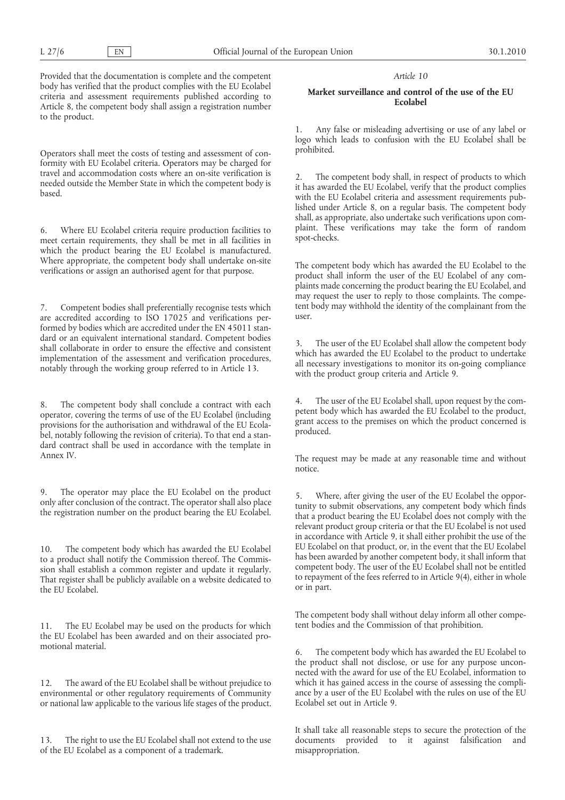Provided that the documentation is complete and the competent body has verified that the product complies with the EU Ecolabel criteria and assessment requirements published according to Article 8, the competent body shall assign a registration number to the product.

Operators shall meet the costs of testing and assessment of conformity with EU Ecolabel criteria. Operators may be charged for travel and accommodation costs where an on-site verification is needed outside the Member State in which the competent body is based.

6. Where EU Ecolabel criteria require production facilities to meet certain requirements, they shall be met in all facilities in which the product bearing the EU Ecolabel is manufactured. Where appropriate, the competent body shall undertake on-site verifications or assign an authorised agent for that purpose.

7. Competent bodies shall preferentially recognise tests which are accredited according to ISO 17025 and verifications performed by bodies which are accredited under the EN 45011 standard or an equivalent international standard. Competent bodies shall collaborate in order to ensure the effective and consistent implementation of the assessment and verification procedures, notably through the working group referred to in Article 13.

8. The competent body shall conclude a contract with each operator, covering the terms of use of the EU Ecolabel (including provisions for the authorisation and withdrawal of the EU Ecolabel, notably following the revision of criteria). To that end a standard contract shall be used in accordance with the template in Annex IV.

9. The operator may place the EU Ecolabel on the product only after conclusion of the contract. The operator shall also place the registration number on the product bearing the EU Ecolabel.

10. The competent body which has awarded the EU Ecolabel to a product shall notify the Commission thereof. The Commission shall establish a common register and update it regularly. That register shall be publicly available on a website dedicated to the EU Ecolabel.

11. The EU Ecolabel may be used on the products for which the EU Ecolabel has been awarded and on their associated promotional material.

12. The award of the EU Ecolabel shall be without prejudice to environmental or other regulatory requirements of Community or national law applicable to the various life stages of the product.

13. The right to use the EU Ecolabel shall not extend to the use of the EU Ecolabel as a component of a trademark.

### *Article 10*

# **Market surveillance and control of the use of the EU Ecolabel**

1. Any false or misleading advertising or use of any label or logo which leads to confusion with the EU Ecolabel shall be prohibited.

2. The competent body shall, in respect of products to which it has awarded the EU Ecolabel, verify that the product complies with the EU Ecolabel criteria and assessment requirements published under Article 8, on a regular basis. The competent body shall, as appropriate, also undertake such verifications upon complaint. These verifications may take the form of random spot-checks.

The competent body which has awarded the EU Ecolabel to the product shall inform the user of the EU Ecolabel of any complaints made concerning the product bearing the EU Ecolabel, and may request the user to reply to those complaints. The competent body may withhold the identity of the complainant from the user.

3. The user of the EU Ecolabel shall allow the competent body which has awarded the EU Ecolabel to the product to undertake all necessary investigations to monitor its on-going compliance with the product group criteria and Article 9.

4. The user of the EU Ecolabel shall, upon request by the competent body which has awarded the EU Ecolabel to the product, grant access to the premises on which the product concerned is produced.

The request may be made at any reasonable time and without notice.

5. Where, after giving the user of the EU Ecolabel the opportunity to submit observations, any competent body which finds that a product bearing the EU Ecolabel does not comply with the relevant product group criteria or that the EU Ecolabel is not used in accordance with Article 9, it shall either prohibit the use of the EU Ecolabel on that product, or, in the event that the EU Ecolabel has been awarded by another competent body, it shall inform that competent body. The user of the EU Ecolabel shall not be entitled to repayment of the fees referred to in Article 9(4), either in whole or in part.

The competent body shall without delay inform all other competent bodies and the Commission of that prohibition.

6. The competent body which has awarded the EU Ecolabel to the product shall not disclose, or use for any purpose unconnected with the award for use of the EU Ecolabel, information to which it has gained access in the course of assessing the compliance by a user of the EU Ecolabel with the rules on use of the EU Ecolabel set out in Article 9.

It shall take all reasonable steps to secure the protection of the documents provided to it against falsification and misappropriation.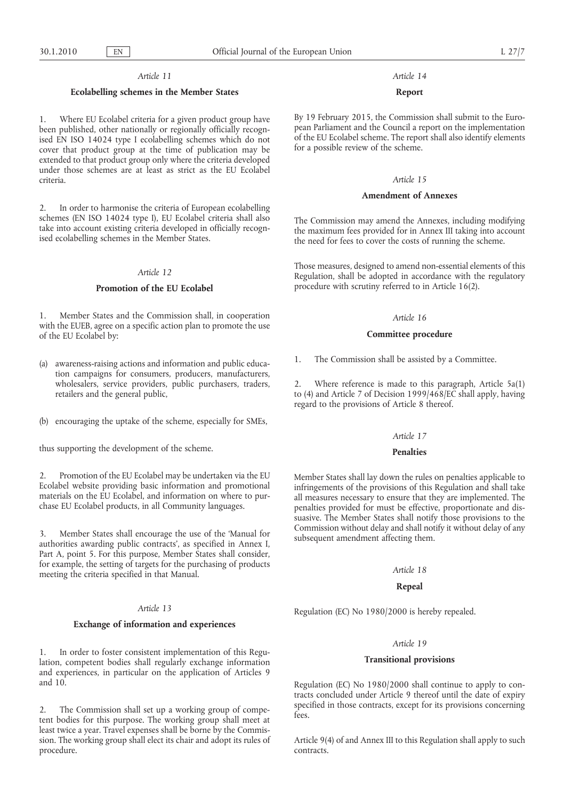30.1.2010 EN

# *Article 11*

# **Ecolabelling schemes in the Member States**

1. Where EU Ecolabel criteria for a given product group have been published, other nationally or regionally officially recognised EN ISO 14024 type I ecolabelling schemes which do not cover that product group at the time of publication may be extended to that product group only where the criteria developed under those schemes are at least as strict as the EU Ecolabel criteria.

2. In order to harmonise the criteria of European ecolabelling schemes (EN ISO 14024 type I), EU Ecolabel criteria shall also take into account existing criteria developed in officially recognised ecolabelling schemes in the Member States.

# *Article 12*

# **Promotion of the EU Ecolabel**

1. Member States and the Commission shall, in cooperation with the EUEB, agree on a specific action plan to promote the use of the EU Ecolabel by:

- (a) awareness-raising actions and information and public education campaigns for consumers, producers, manufacturers, wholesalers, service providers, public purchasers, traders, retailers and the general public,
- (b) encouraging the uptake of the scheme, especially for SMEs,

thus supporting the development of the scheme.

2. Promotion of the EU Ecolabel may be undertaken via the EU Ecolabel website providing basic information and promotional materials on the EU Ecolabel, and information on where to purchase EU Ecolabel products, in all Community languages.

3. Member States shall encourage the use of the 'Manual for authorities awarding public contracts', as specified in Annex I, Part A, point 5. For this purpose, Member States shall consider, for example, the setting of targets for the purchasing of products meeting the criteria specified in that Manual.

# *Article 13*

# **Exchange of information and experiences**

1. In order to foster consistent implementation of this Regulation, competent bodies shall regularly exchange information and experiences, in particular on the application of Articles 9 and 10.

2. The Commission shall set up a working group of competent bodies for this purpose. The working group shall meet at least twice a year. Travel expenses shall be borne by the Commission. The working group shall elect its chair and adopt its rules of procedure.

# *Article 14*

# **Report**

By 19 February 2015, the Commission shall submit to the European Parliament and the Council a report on the implementation of the EU Ecolabel scheme. The report shall also identify elements for a possible review of the scheme.

#### *Article 15*

# **Amendment of Annexes**

The Commission may amend the Annexes, including modifying the maximum fees provided for in Annex III taking into account the need for fees to cover the costs of running the scheme.

Those measures, designed to amend non-essential elements of this Regulation, shall be adopted in accordance with the regulatory procedure with scrutiny referred to in Article 16(2).

### *Article 16*

#### **Committee procedure**

1. The Commission shall be assisted by a Committee.

2. Where reference is made to this paragraph, Article 5a(1) to (4) and Article 7 of Decision 1999/468/EC shall apply, having regard to the provisions of Article 8 thereof.

#### *Article 17*

### **Penalties**

Member States shall lay down the rules on penalties applicable to infringements of the provisions of this Regulation and shall take all measures necessary to ensure that they are implemented. The penalties provided for must be effective, proportionate and dissuasive. The Member States shall notify those provisions to the Commission without delay and shall notify it without delay of any subsequent amendment affecting them.

# *Article 18*

# **Repeal**

Regulation (EC) No 1980/2000 is hereby repealed.

#### *Article 19*

# **Transitional provisions**

Regulation (EC) No 1980/2000 shall continue to apply to contracts concluded under Article 9 thereof until the date of expiry specified in those contracts, except for its provisions concerning fees.

Article 9(4) of and Annex III to this Regulation shall apply to such contracts.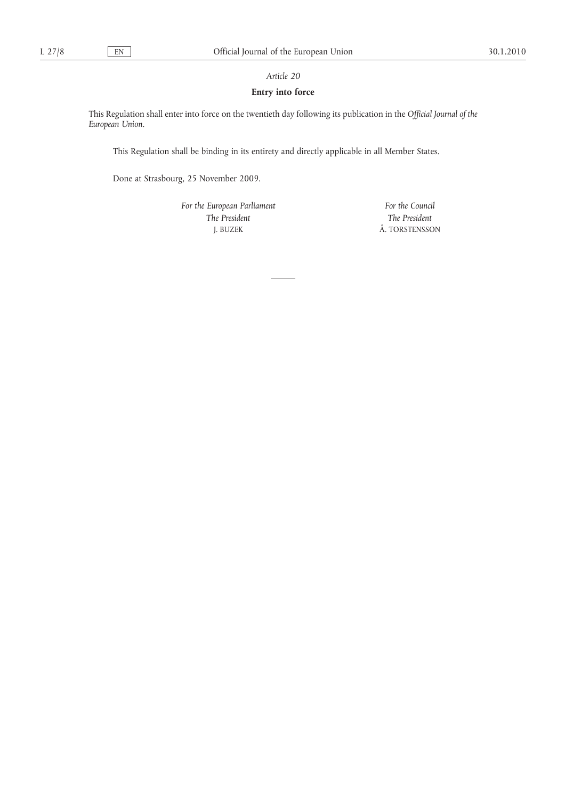# *Article 20*

# **Entry into force**

This Regulation shall enter into force on the twentieth day following its publication in the *Official Journal of the European Union*.

This Regulation shall be binding in its entirety and directly applicable in all Member States.

Done at Strasbourg, 25 November 2009.

*For the European Parliament The President* J. BUZEK

*For the Council The President* Å. TORSTENSSON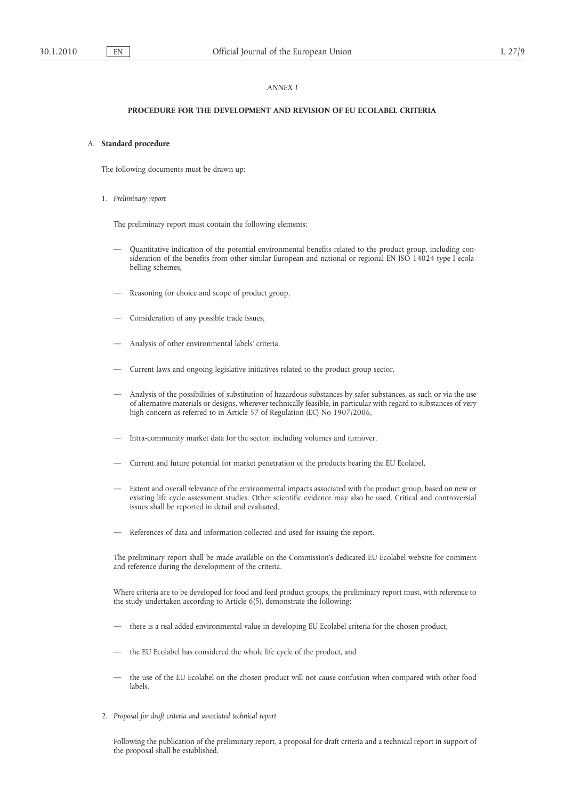# *ANNEX I*

# **PROCEDURE FOR THE DEVELOPMENT AND REVISION OF EU ECOLABEL CRITERIA**

# A. **Standard procedure**

The following documents must be drawn up:

1. *Preliminary report*

The preliminary report must contain the following elements:

- Quantitative indication of the potential environmental benefits related to the product group, including consideration of the benefits from other similar European and national or regional EN ISO 14024 type I ecolabelling schemes,
- Reasoning for choice and scope of product group,
- Consideration of any possible trade issues,
- Analysis of other environmental labels' criteria,
- Current laws and ongoing legislative initiatives related to the product group sector,
- Analysis of the possibilities of substitution of hazardous substances by safer substances, as such or via the use of alternative materials or designs, wherever technically feasible, in particular with regard to substances of very high concern as referred to in Article 57 of Regulation (EC) No 1907/2006,
- Intra-community market data for the sector, including volumes and turnover,
- Current and future potential for market penetration of the products bearing the EU Ecolabel,
- Extent and overall relevance of the environmental impacts associated with the product group, based on new or existing life cycle assessment studies. Other scientific evidence may also be used. Critical and controversial issues shall be reported in detail and evaluated,
- References of data and information collected and used for issuing the report.

The preliminary report shall be made available on the Commission's dedicated EU Ecolabel website for comment and reference during the development of the criteria.

Where criteria are to be developed for food and feed product groups, the preliminary report must, with reference to the study undertaken according to Article 6(5), demonstrate the following:

- there is a real added environmental value in developing EU Ecolabel criteria for the chosen product,
- the EU Ecolabel has considered the whole life cycle of the product, and
- the use of the EU Ecolabel on the chosen product will not cause confusion when compared with other food labels.
- 2. *Proposal for draft criteria and associated technical report*

Following the publication of the preliminary report, a proposal for draft criteria and a technical report in support of the proposal shall be established.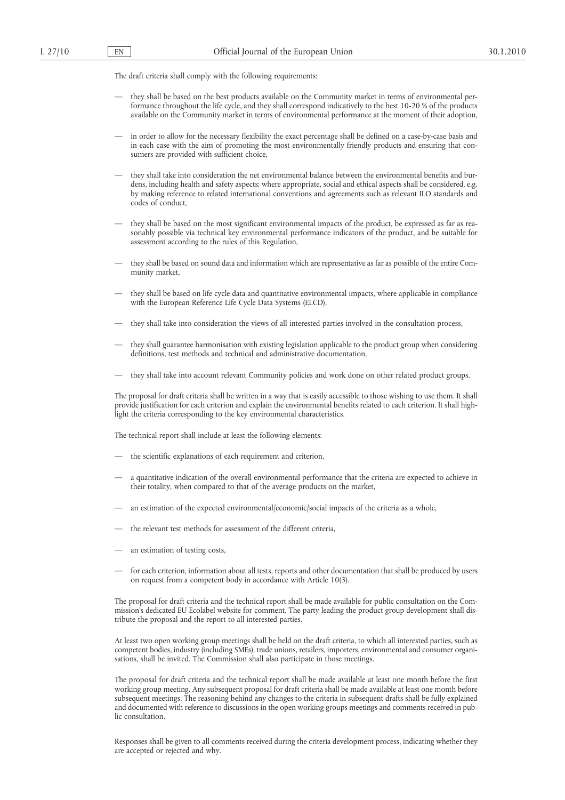The draft criteria shall comply with the following requirements:

- they shall be based on the best products available on the Community market in terms of environmental performance throughout the life cycle, and they shall correspond indicatively to the best 10-20 % of the products available on the Community market in terms of environmental performance at the moment of their adoption,
- in order to allow for the necessary flexibility the exact percentage shall be defined on a case-by-case basis and in each case with the aim of promoting the most environmentally friendly products and ensuring that consumers are provided with sufficient choice,
- they shall take into consideration the net environmental balance between the environmental benefits and burdens, including health and safety aspects; where appropriate, social and ethical aspects shall be considered, e.g. by making reference to related international conventions and agreements such as relevant ILO standards and codes of conduct,
- they shall be based on the most significant environmental impacts of the product, be expressed as far as reasonably possible via technical key environmental performance indicators of the product, and be suitable for assessment according to the rules of this Regulation,
- they shall be based on sound data and information which are representative as far as possible of the entire Community market,
- they shall be based on life cycle data and quantitative environmental impacts, where applicable in compliance with the European Reference Life Cycle Data Systems (ELCD),
- they shall take into consideration the views of all interested parties involved in the consultation process,
- they shall guarantee harmonisation with existing legislation applicable to the product group when considering definitions, test methods and technical and administrative documentation,
- they shall take into account relevant Community policies and work done on other related product groups.

The proposal for draft criteria shall be written in a way that is easily accessible to those wishing to use them. It shall provide justification for each criterion and explain the environmental benefits related to each criterion. It shall highlight the criteria corresponding to the key environmental characteristics.

The technical report shall include at least the following elements:

- the scientific explanations of each requirement and criterion,
- a quantitative indication of the overall environmental performance that the criteria are expected to achieve in their totality, when compared to that of the average products on the market,
- an estimation of the expected environmental/economic/social impacts of the criteria as a whole,
- the relevant test methods for assessment of the different criteria,
- an estimation of testing costs,
- for each criterion, information about all tests, reports and other documentation that shall be produced by users on request from a competent body in accordance with Article 10(3).

The proposal for draft criteria and the technical report shall be made available for public consultation on the Commission's dedicated EU Ecolabel website for comment. The party leading the product group development shall distribute the proposal and the report to all interested parties.

At least two open working group meetings shall be held on the draft criteria, to which all interested parties, such as competent bodies, industry (including SMEs), trade unions, retailers, importers, environmental and consumer organisations, shall be invited. The Commission shall also participate in those meetings.

The proposal for draft criteria and the technical report shall be made available at least one month before the first working group meeting. Any subsequent proposal for draft criteria shall be made available at least one month before subsequent meetings. The reasoning behind any changes to the criteria in subsequent drafts shall be fully explained and documented with reference to discussions in the open working groups meetings and comments received in public consultation.

Responses shall be given to all comments received during the criteria development process, indicating whether they are accepted or rejected and why.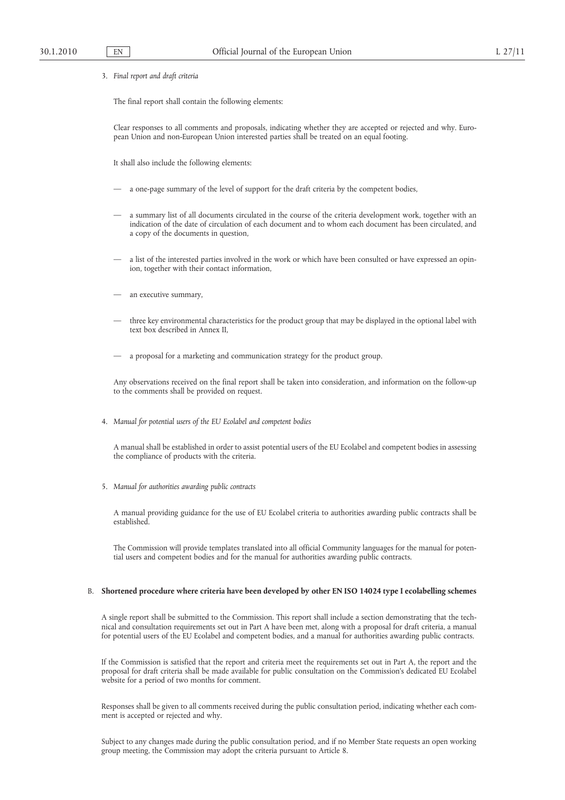3. *Final report and draft criteria*

The final report shall contain the following elements:

Clear responses to all comments and proposals, indicating whether they are accepted or rejected and why. European Union and non-European Union interested parties shall be treated on an equal footing.

It shall also include the following elements:

- a one-page summary of the level of support for the draft criteria by the competent bodies,
- a summary list of all documents circulated in the course of the criteria development work, together with an indication of the date of circulation of each document and to whom each document has been circulated, and a copy of the documents in question,
- a list of the interested parties involved in the work or which have been consulted or have expressed an opinion, together with their contact information,
- an executive summary,
- three key environmental characteristics for the product group that may be displayed in the optional label with text box described in Annex II,
- a proposal for a marketing and communication strategy for the product group.

Any observations received on the final report shall be taken into consideration, and information on the follow-up to the comments shall be provided on request.

4. *Manual for potential users of the EU Ecolabel and competent bodies*

A manual shall be established in order to assist potential users of the EU Ecolabel and competent bodies in assessing the compliance of products with the criteria.

5. *Manual for authorities awarding public contracts*

A manual providing guidance for the use of EU Ecolabel criteria to authorities awarding public contracts shall be established.

The Commission will provide templates translated into all official Community languages for the manual for potential users and competent bodies and for the manual for authorities awarding public contracts.

#### B. **Shortened procedure where criteria have been developed by other EN ISO 14024 type I ecolabelling schemes**

A single report shall be submitted to the Commission. This report shall include a section demonstrating that the technical and consultation requirements set out in Part A have been met, along with a proposal for draft criteria, a manual for potential users of the EU Ecolabel and competent bodies, and a manual for authorities awarding public contracts.

If the Commission is satisfied that the report and criteria meet the requirements set out in Part A, the report and the proposal for draft criteria shall be made available for public consultation on the Commission's dedicated EU Ecolabel website for a period of two months for comment.

Responses shall be given to all comments received during the public consultation period, indicating whether each comment is accepted or rejected and why.

Subject to any changes made during the public consultation period, and if no Member State requests an open working group meeting, the Commission may adopt the criteria pursuant to Article 8.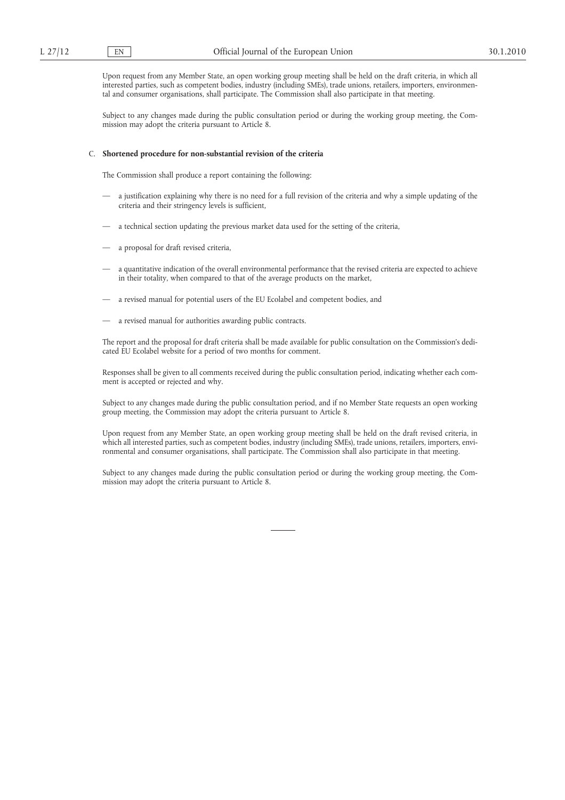Upon request from any Member State, an open working group meeting shall be held on the draft criteria, in which all interested parties, such as competent bodies, industry (including SMEs), trade unions, retailers, importers, environmental and consumer organisations, shall participate. The Commission shall also participate in that meeting.

Subject to any changes made during the public consultation period or during the working group meeting, the Commission may adopt the criteria pursuant to Article 8.

#### C. **Shortened procedure for non-substantial revision of the criteria**

The Commission shall produce a report containing the following:

- a justification explaining why there is no need for a full revision of the criteria and why a simple updating of the criteria and their stringency levels is sufficient,
- a technical section updating the previous market data used for the setting of the criteria,
- a proposal for draft revised criteria,
- a quantitative indication of the overall environmental performance that the revised criteria are expected to achieve in their totality, when compared to that of the average products on the market,
- a revised manual for potential users of the EU Ecolabel and competent bodies, and
- a revised manual for authorities awarding public contracts.

The report and the proposal for draft criteria shall be made available for public consultation on the Commission's dedicated EU Ecolabel website for a period of two months for comment.

Responses shall be given to all comments received during the public consultation period, indicating whether each comment is accepted or rejected and why.

Subject to any changes made during the public consultation period, and if no Member State requests an open working group meeting, the Commission may adopt the criteria pursuant to Article 8.

Upon request from any Member State, an open working group meeting shall be held on the draft revised criteria, in which all interested parties, such as competent bodies, industry (including SMEs), trade unions, retailers, importers, environmental and consumer organisations, shall participate. The Commission shall also participate in that meeting.

Subject to any changes made during the public consultation period or during the working group meeting, the Commission may adopt the criteria pursuant to Article 8.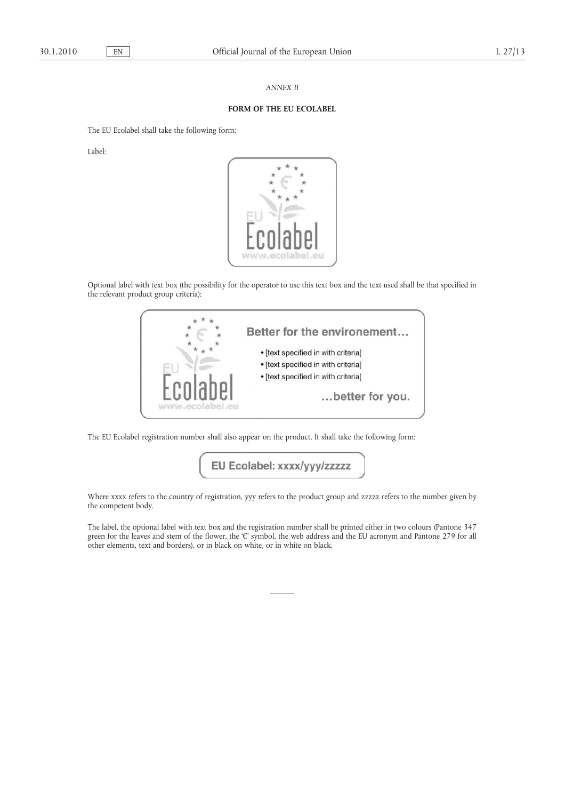# *ANNEX II*

# **FORM OF THE EU ECOLABEL**

The EU Ecolabel shall take the following form:

Label:



Optional label with text box (the possibility for the operator to use this text box and the text used shall be that specified in the relevant product group criteria):



The EU Ecolabel registration number shall also appear on the product. It shall take the following form:

EU Ecolabel: xxxx/yyy/zzzzz

Where xxxx refers to the country of registration, yyy refers to the product group and zzzzz refers to the number given by the competent body.

The label, the optional label with text box and the registration number shall be printed either in two colours (Pantone 347 green for the leaves and stem of the flower, the 'Є' symbol, the web address and the EU acronym and Pantone 279 for all other elements, text and borders), or in black on white, or in white on black.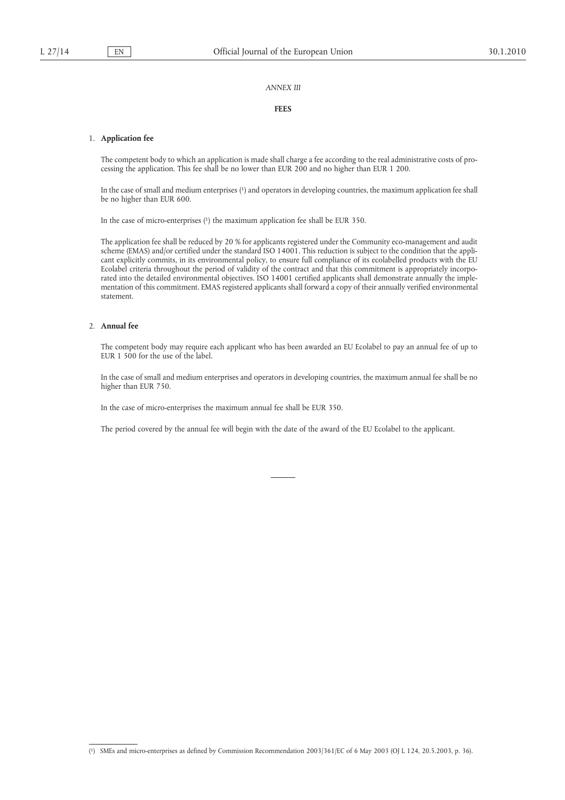# *ANNEX III*

# **FEES**

#### 1. **Application fee**

The competent body to which an application is made shall charge a fee according to the real administrative costs of processing the application. This fee shall be no lower than EUR 200 and no higher than EUR 1 200.

In the case of small and medium enterprises ( 1) and operators in developing countries, the maximum application fee shall be no higher than EUR 600.

In the case of micro-enterprises (1) the maximum application fee shall be EUR 350.

In the case of micro-enterprises (1) the maximum application for shall be EUR 350.<br>The specificals free dadl by coloned by 20 % for applicance registered ratio charge counterprises as defined by Recommendation 2003/361/EC The application fee shall be reduced by 20 % for applicants registered under the Community eco-management and audit scheme (EMAS) and/or certified under the standard ISO 14001. This reduction is subject to the condition that the applicant explicitly commits, in its environmental policy, to ensure full compliance of its ecolabelled products with the EU Ecolabel criteria throughout the period of validity of the contract and that this commitment is appropriately incorporated into the detailed environmental objectives. ISO 14001 certified applicants shall demonstrate annually the implementation of this commitment. EMAS registered applicants shall forward a copy of their annually verified environmental statement.

# 2. **Annual fee**

The competent body may require each applicant who has been awarded an EU Ecolabel to pay an annual fee of up to EUR 1 500 for the use of the label.

In the case of small and medium enterprises and operators in developing countries, the maximum annual fee shall be no higher than EUR 750.

In the case of micro-enterprises the maximum annual fee shall be EUR 350.

The period covered by the annual fee will begin with the date of the award of the EU Ecolabel to the applicant.

<sup>(</sup> 1) SMEs and micro-enterprises as defined by Commission Recommendation 2003/361/EC of 6 May 2003 (OJ L [124, 20.5.2003, p.](http://eur-lex.europa.eu/LexUriServ/LexUriServ.do?uri=OJ:L:2003:124:0036:0036:EN:PDF) 36).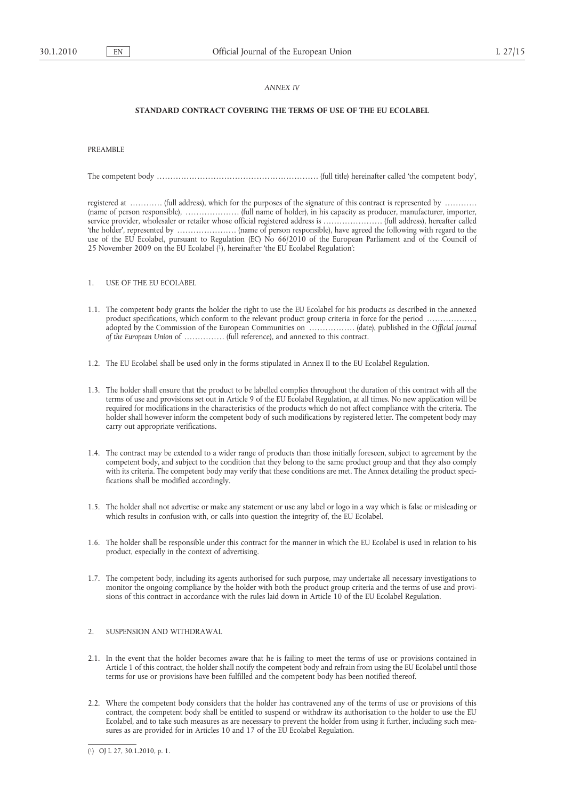# *ANNEX IV*

# **STANDARD CONTRACT COVERING THE TERMS OF USE OF THE EU ECOLABEL**

PREAMBLE

The competent body . . . . . . . . . . . . . . . . . . . . . . . . . . . . . . . . . . . . . . . . . . . . . . . . . . . . . . . . . . . . (full title) hereinafter called 'the competent body',

registered at ........... (full address), which for the purposes of the signature of this contract is represented by ........... (name of person responsible), . . . . . . . . . . . . . . . . . . . . (full name of holder), in his capacity as producer, manufacturer, importer, service provider, wholesaler or retailer whose official registered address is . . . . . . . . . . . . . . . . . . . . . . (full address), hereafter called 'the holder', represented by . . . . . . . . . . . . . . . . . . . . . . (name of person responsible), have agreed the following with regard to the use of the EU Ecolabel, pursuant to Regulation (EC) No 66/2010 of the European Parliament and of the Council of 25 November 2009 on the EU Ecolabel ( 1), hereinafter 'the EU Ecolabel Regulation':

- 1. USE OF THE EU ECOLABEL
- 1.1. The competent body grants the holder the right to use the EU Ecolabel for his products as described in the annexed product specifications, which conform to the relevant product group criteria in force for the period ........ adopted by the Commission of the European Communities on . . . . . . . . . . . . . . . . . (date), published in the *Official Journal of the European Union of* ............... (full reference), and annexed to this contract.
- 1.2. The EU Ecolabel shall be used only in the forms stipulated in Annex II to the EU Ecolabel Regulation.
- 1.3. The holder shall ensure that the product to be labelled complies throughout the duration of this contract with all the terms of use and provisions set out in Article 9 of the EU Ecolabel Regulation, at all times. No new application will be required for modifications in the characteristics of the products which do not affect compliance with the criteria. The holder shall however inform the competent body of such modifications by registered letter. The competent body may carry out appropriate verifications.
- 1.4. The contract may be extended to a wider range of products than those initially foreseen, subject to agreement by the competent body, and subject to the condition that they belong to the same product group and that they also comply with its criteria. The competent body may verify that these conditions are met. The Annex detailing the product specifications shall be modified accordingly.
- 1.5. The holder shall not advertise or make any statement or use any label or logo in a way which is false or misleading or which results in confusion with, or calls into question the integrity of, the EU Ecolabel.
- 1.6. The holder shall be responsible under this contract for the manner in which the EU Ecolabel is used in relation to his product, especially in the context of advertising.
- 1.7. The competent body, including its agents authorised for such purpose, may undertake all necessary investigations to monitor the ongoing compliance by the holder with both the product group criteria and the terms of use and provisions of this contract in accordance with the rules laid down in Article 10 of the EU Ecolabel Regulation.

# 2. SUSPENSION AND WITHDRAWAL

- 2.1. In the event that the holder becomes aware that he is failing to meet the terms of use or provisions contained in Article 1 of this contract, the holder shall notify the competent body and refrain from using the EU Ecolabel until those terms for use or provisions have been fulfilled and the competent body has been notified thereof.
- 2.2. Where the competent body considers that the holder has contravened any of the terms of use or provisions of this contract, the competent body shall be entitled to suspend or withdraw its authorisation to the holder to use the EU Ecolabel, and to take such measures as are necessary to prevent the holder from using it further, including such measures as are provided for in Articles 10 and 17 of the EU Ecolabel Regulation.

<sup>(</sup> 1) OJ L 27, 30.1.2010, p. 1.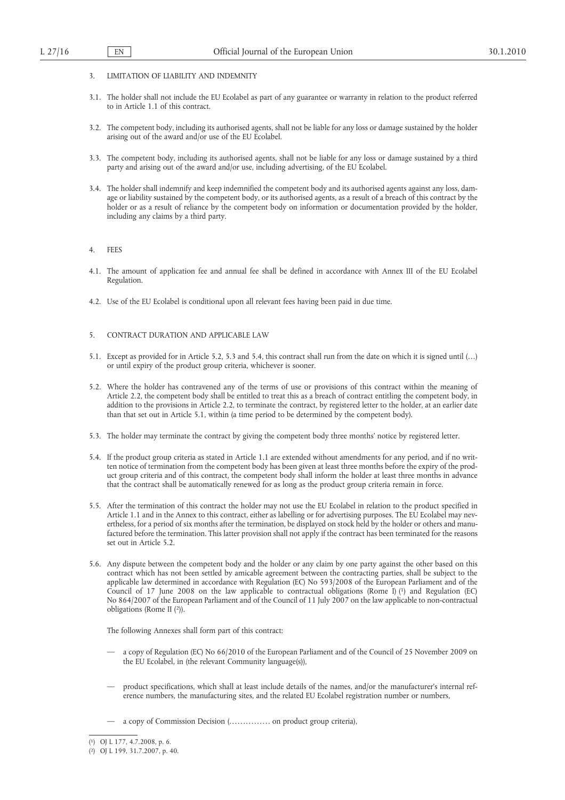- 3. LIMITATION OF LIABILITY AND INDEMNITY
- 3.1. The holder shall not include the EU Ecolabel as part of any guarantee or warranty in relation to the product referred to in Article 1.1 of this contract.
- 3.2. The competent body, including its authorised agents, shall not be liable for any loss or damage sustained by the holder arising out of the award and/or use of the EU Ecolabel.
- 3.3. The competent body, including its authorised agents, shall not be liable for any loss or damage sustained by a third party and arising out of the award and/or use, including advertising, of the EU Ecolabel.
- 3.4. The holder shall indemnify and keep indemnified the competent body and its authorised agents against any loss, damage or liability sustained by the competent body, or its authorised agents, as a result of a breach of this contract by the holder or as a result of reliance by the competent body on information or documentation provided by the holder, including any claims by a third party.

#### 4. FEES

- 4.1. The amount of application fee and annual fee shall be defined in accordance with Annex III of the EU Ecolabel Regulation.
- 4.2. Use of the EU Ecolabel is conditional upon all relevant fees having been paid in due time.

#### 5. CONTRACT DURATION AND APPLICABLE LAW

- 5.1. Except as provided for in Article 5.2, 5.3 and 5.4, this contract shall run from the date on which it is signed until (…) or until expiry of the product group criteria, whichever is sooner.
- 5.2. Where the holder has contravened any of the terms of use or provisions of this contract within the meaning of Article 2.2, the competent body shall be entitled to treat this as a breach of contract entitling the competent body, in addition to the provisions in Article 2.2, to terminate the contract, by registered letter to the holder, at an earlier date than that set out in Article 5.1, within (a time period to be determined by the competent body).
- 5.3. The holder may terminate the contract by giving the competent body three months' notice by registered letter.
- 5.4. If the product group criteria as stated in Article 1.1 are extended without amendments for any period, and if no written notice of termination from the competent body has been given at least three months before the expiry of the product group criteria and of this contract, the competent body shall inform the holder at least three months in advance that the contract shall be automatically renewed for as long as the product group criteria remain in force.
- 5.5. After the termination of this contract the holder may not use the EU Ecolabel in relation to the product specified in Article 1.1 and in the Annex to this contract, either as labelling or for advertising purposes. The EU Ecolabel may nevertheless, for a period of six months after the termination, be displayed on stock held by the holder or others and manufactured before the termination. This latter provision shall not apply if the contract has been terminated for the reasons set out in Article 5.2.
- 5.6. Any dispute between the competent body and the holder or any claim by one party against the other based on this contract which has not been settled by amicable agreement between the contracting parties, shall be subject to the applicable law determined in accordance with Regulation (EC) No 593/2008 of the European Parliament and of the Council of 17 June 2008 on the law applicable to contractual obligations (Rome I) (1) and Regulation (EC) No 864/2007 of the European Parliament and of the Council of 11 July 2007 on the law applicable to non-contractual obligations (Rome II (2)).

The following Annexes shall form part of this contract:

- a copy of Regulation (EC) No 66/2010 of the European Parliament and of the Council of 25 November 2009 on the EU Ecolabel, in (the relevant Community language(s)),
- product specifications, which shall at least include details of the names, and/or the manufacturer's internal reference numbers, the manufacturing sites, and the related EU Ecolabel registration number or numbers,
- a copy of Commission Decision (. . . . . . . . . . . . . . . on product group criteria),

<sup>(</sup> 1) OJ L [177, 4.7.2008, p.](http://eur-lex.europa.eu/LexUriServ/LexUriServ.do?uri=OJ:L:2008:177:0006:0006:EN:PDF) 6.

<sup>(</sup> 2) OJ L [199, 31.7.2007, p.](http://eur-lex.europa.eu/LexUriServ/LexUriServ.do?uri=OJ:L:2007:199:0040:0040:EN:PDF) 40.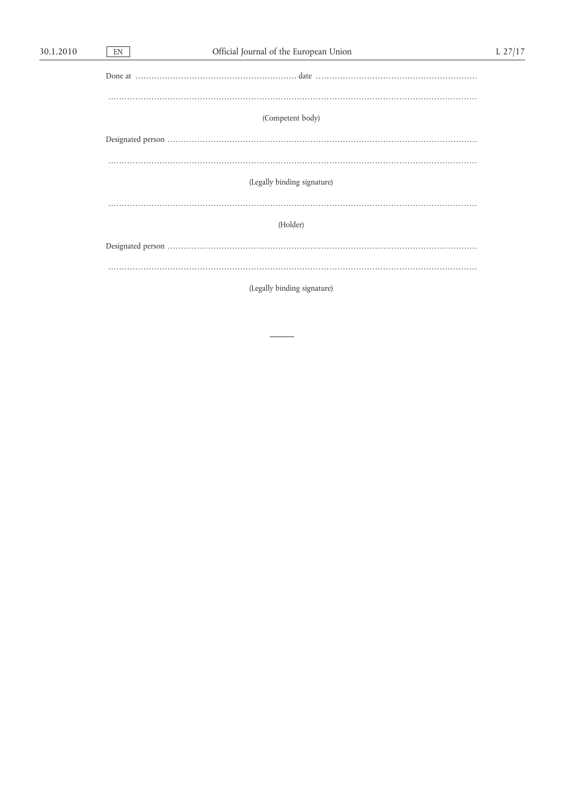$EN$ 

| (Competent body)            |  |
|-----------------------------|--|
|                             |  |
|                             |  |
|                             |  |
|                             |  |
| (Legally binding signature) |  |
|                             |  |
|                             |  |
| (Holder)                    |  |
|                             |  |
|                             |  |
|                             |  |
|                             |  |

(Legally binding signature)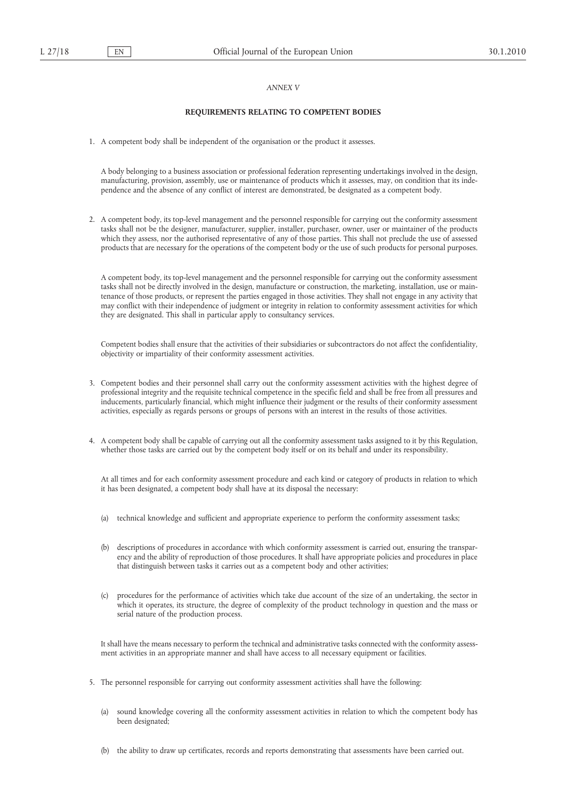# *ANNEX V*

# **REQUIREMENTS RELATING TO COMPETENT BODIES**

1. A competent body shall be independent of the organisation or the product it assesses.

A body belonging to a business association or professional federation representing undertakings involved in the design, manufacturing, provision, assembly, use or maintenance of products which it assesses, may, on condition that its independence and the absence of any conflict of interest are demonstrated, be designated as a competent body.

2. A competent body, its top-level management and the personnel responsible for carrying out the conformity assessment tasks shall not be the designer, manufacturer, supplier, installer, purchaser, owner, user or maintainer of the products which they assess, nor the authorised representative of any of those parties. This shall not preclude the use of assessed products that are necessary for the operations of the competent body or the use of such products for personal purposes.

A competent body, its top-level management and the personnel responsible for carrying out the conformity assessment tasks shall not be directly involved in the design, manufacture or construction, the marketing, installation, use or maintenance of those products, or represent the parties engaged in those activities. They shall not engage in any activity that may conflict with their independence of judgment or integrity in relation to conformity assessment activities for which they are designated. This shall in particular apply to consultancy services.

Competent bodies shall ensure that the activities of their subsidiaries or subcontractors do not affect the confidentiality, objectivity or impartiality of their conformity assessment activities.

- 3. Competent bodies and their personnel shall carry out the conformity assessment activities with the highest degree of professional integrity and the requisite technical competence in the specific field and shall be free from all pressures and inducements, particularly financial, which might influence their judgment or the results of their conformity assessment activities, especially as regards persons or groups of persons with an interest in the results of those activities.
- 4. A competent body shall be capable of carrying out all the conformity assessment tasks assigned to it by this Regulation, whether those tasks are carried out by the competent body itself or on its behalf and under its responsibility.

At all times and for each conformity assessment procedure and each kind or category of products in relation to which it has been designated, a competent body shall have at its disposal the necessary:

- (a) technical knowledge and sufficient and appropriate experience to perform the conformity assessment tasks;
- (b) descriptions of procedures in accordance with which conformity assessment is carried out, ensuring the transparency and the ability of reproduction of those procedures. It shall have appropriate policies and procedures in place that distinguish between tasks it carries out as a competent body and other activities;
- (c) procedures for the performance of activities which take due account of the size of an undertaking, the sector in which it operates, its structure, the degree of complexity of the product technology in question and the mass or serial nature of the production process.

It shall have the means necessary to perform the technical and administrative tasks connected with the conformity assessment activities in an appropriate manner and shall have access to all necessary equipment or facilities.

- 5. The personnel responsible for carrying out conformity assessment activities shall have the following:
	- (a) sound knowledge covering all the conformity assessment activities in relation to which the competent body has been designated;
	- (b) the ability to draw up certificates, records and reports demonstrating that assessments have been carried out.